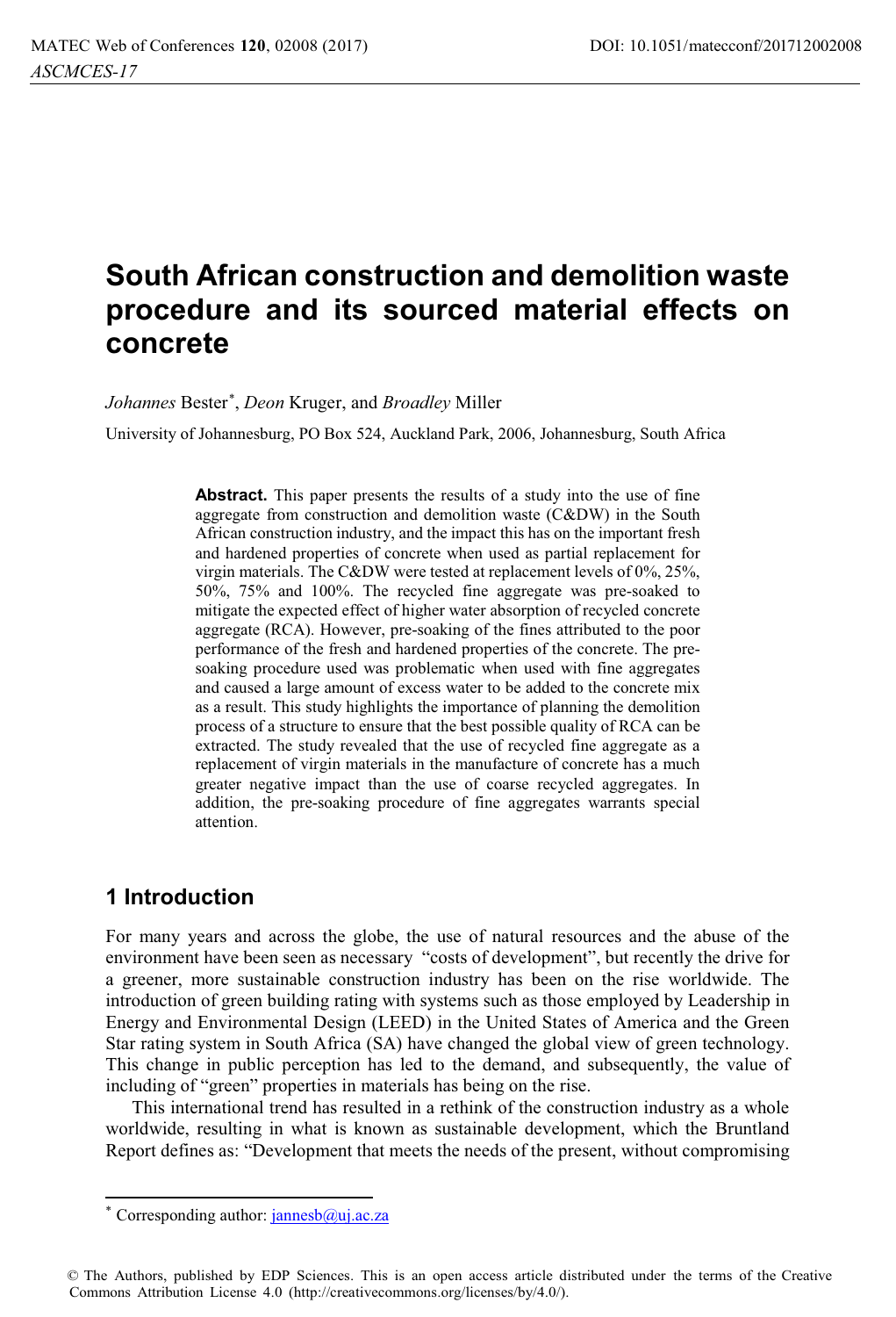# **South African construction and demolition waste procedure and its sourced material effects on concrete**

*Johannes* Bester\* , *Deon* Kruger, and *Broadley* Miller

University of Johannesburg, PO Box 524, Auckland Park, 2006, Johannesburg, South Africa

**Abstract.** This paper presents the results of a study into the use of fine aggregate from construction and demolition waste (C&DW) in the South African construction industry, and the impact this has on the important fresh and hardened properties of concrete when used as partial replacement for virgin materials. The C&DW were tested at replacement levels of 0%, 25%, 50%, 75% and 100%. The recycled fine aggregate was pre-soaked to mitigate the expected effect of higher water absorption of recycled concrete aggregate (RCA). However, pre-soaking of the fines attributed to the poor performance of the fresh and hardened properties of the concrete. The presoaking procedure used was problematic when used with fine aggregates and caused a large amount of excess water to be added to the concrete mix as a result. This study highlights the importance of planning the demolition process of a structure to ensure that the best possible quality of RCA can be extracted. The study revealed that the use of recycled fine aggregate as a replacement of virgin materials in the manufacture of concrete has a much greater negative impact than the use of coarse recycled aggregates. In addition, the pre-soaking procedure of fine aggregates warrants special attention.

# **1 Introduction**

For many years and across the globe, the use of natural resources and the abuse of the environment have been seen as necessary "costs of development", but recently the drive for a greener, more sustainable construction industry has been on the rise worldwide. The introduction of green building rating with systems such as those employed by Leadership in Energy and Environmental Design (LEED) in the United States of America and the Green Star rating system in South Africa (SA) have changed the global view of green technology. This change in public perception has led to the demand, and subsequently, the value of including of "green" properties in materials has being on the rise.

This international trend has resulted in a rethink of the construction industry as a whole worldwide, resulting in what is known as sustainable development, which the Bruntland Report defines as: "Development that meets the needs of the present, without compromising

<sup>\*</sup> Corresponding author:  $\frac{\partial u}{\partial y}$  ac.za

<sup>©</sup> The Authors, published by EDP Sciences. This is an open access article distributed under the terms of the Creative Commons Attribution License 4.0 (http://creativecommons.org/licenses/by/4.0/).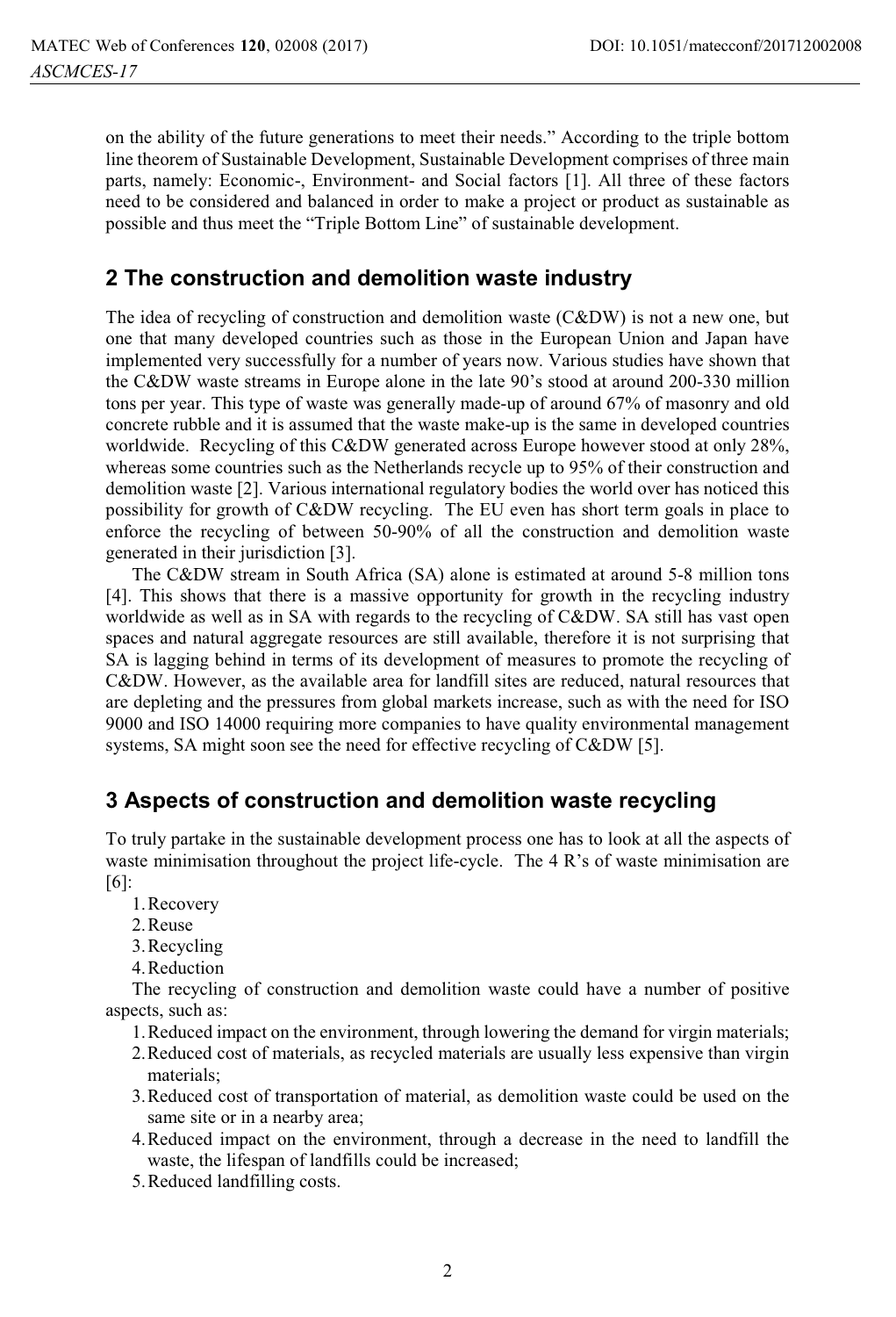on the ability of the future generations to meet their needs." According to the triple bottom line theorem of Sustainable Development, Sustainable Development comprises of three main parts, namely: Economic-, Environment- and Social factors [1]. All three of these factors need to be considered and balanced in order to make a project or product as sustainable as possible and thus meet the "Triple Bottom Line" of sustainable development.

# **2 The construction and demolition waste industry**

The idea of recycling of construction and demolition waste (C&DW) is not a new one, but one that many developed countries such as those in the European Union and Japan have implemented very successfully for a number of years now. Various studies have shown that the C&DW waste streams in Europe alone in the late 90's stood at around 200-330 million tons per year. This type of waste was generally made-up of around 67% of masonry and old concrete rubble and it is assumed that the waste make-up is the same in developed countries worldwide. Recycling of this C&DW generated across Europe however stood at only 28%, whereas some countries such as the Netherlands recycle up to 95% of their construction and demolition waste [2]. Various international regulatory bodies the world over has noticed this possibility for growth of C&DW recycling. The EU even has short term goals in place to enforce the recycling of between 50-90% of all the construction and demolition waste generated in their jurisdiction [3].

The C&DW stream in South Africa (SA) alone is estimated at around 5-8 million tons [4]. This shows that there is a massive opportunity for growth in the recycling industry worldwide as well as in SA with regards to the recycling of C&DW. SA still has vast open spaces and natural aggregate resources are still available, therefore it is not surprising that SA is lagging behind in terms of its development of measures to promote the recycling of C&DW. However, as the available area for landfill sites are reduced, natural resources that are depleting and the pressures from global markets increase, such as with the need for ISO 9000 and ISO 14000 requiring more companies to have quality environmental management systems, SA might soon see the need for effective recycling of C&DW [5].

# **3 Aspects of construction and demolition waste recycling**

To truly partake in the sustainable development process one has to look at all the aspects of waste minimisation throughout the project life-cycle. The 4 R's of waste minimisation are [6]:

- 1. Recovery
- 2. Reuse
- 3. Recycling
- 4. Reduction

The recycling of construction and demolition waste could have a number of positive aspects, such as:

- 1. Reduced impact on the environment, through lowering the demand for virgin materials;
- 2. Reduced cost of materials, as recycled materials are usually less expensive than virgin materials;
- 3. Reduced cost of transportation of material, as demolition waste could be used on the same site or in a nearby area;
- 4. Reduced impact on the environment, through a decrease in the need to landfill the waste, the lifespan of landfills could be increased;
- 5. Reduced landfilling costs.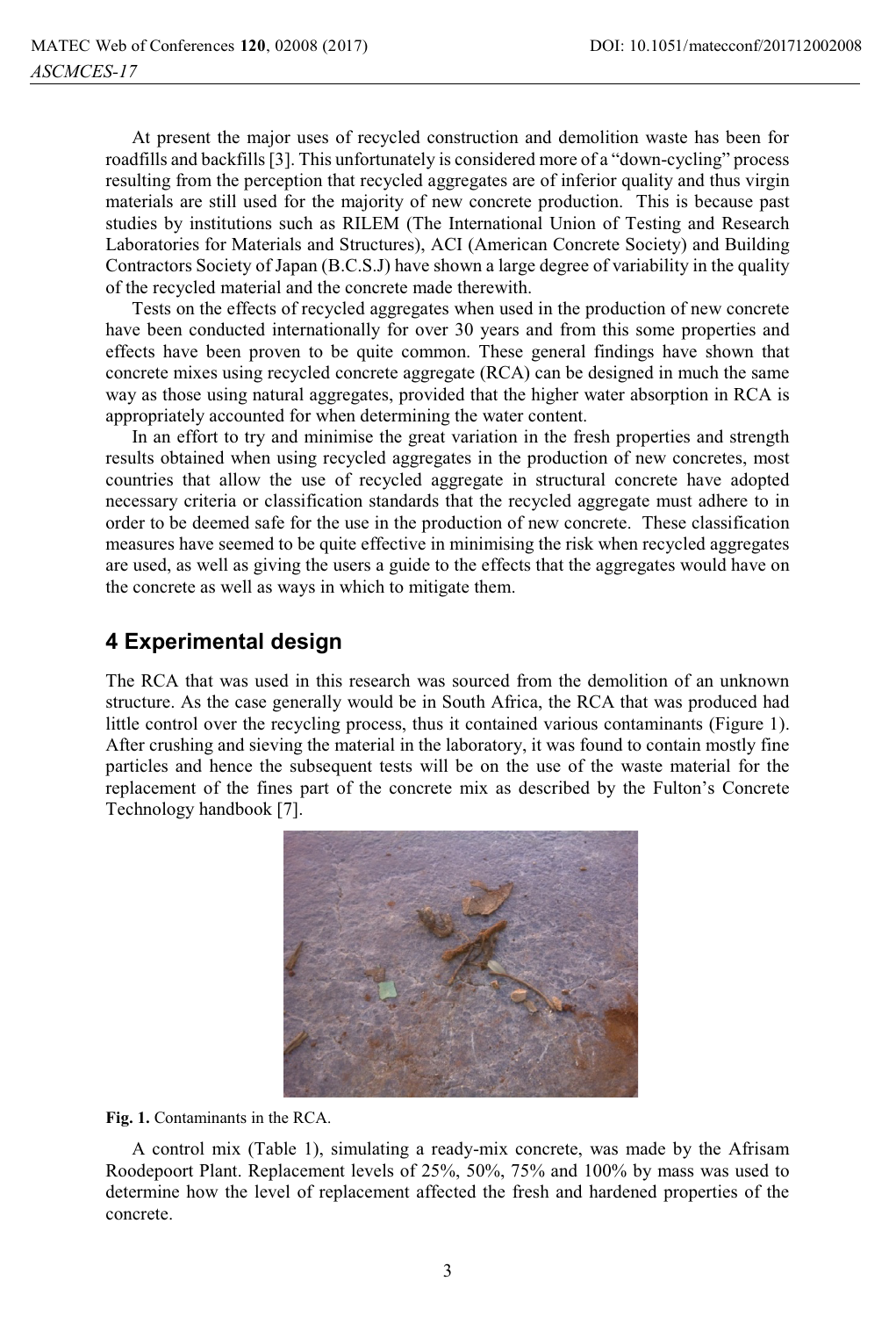At present the major uses of recycled construction and demolition waste has been for roadfills and backfills [3]. This unfortunately is considered more of a "down-cycling" process resulting from the perception that recycled aggregates are of inferior quality and thus virgin materials are still used for the majority of new concrete production. This is because past studies by institutions such as RILEM (The International Union of Testing and Research Laboratories for Materials and Structures), ACI (American Concrete Society) and Building Contractors Society of Japan (B.C.S.J) have shown a large degree of variability in the quality of the recycled material and the concrete made therewith.

Tests on the effects of recycled aggregates when used in the production of new concrete have been conducted internationally for over 30 years and from this some properties and effects have been proven to be quite common. These general findings have shown that concrete mixes using recycled concrete aggregate (RCA) can be designed in much the same way as those using natural aggregates, provided that the higher water absorption in RCA is appropriately accounted for when determining the water content.

In an effort to try and minimise the great variation in the fresh properties and strength results obtained when using recycled aggregates in the production of new concretes, most countries that allow the use of recycled aggregate in structural concrete have adopted necessary criteria or classification standards that the recycled aggregate must adhere to in order to be deemed safe for the use in the production of new concrete. These classification measures have seemed to be quite effective in minimising the risk when recycled aggregates are used, as well as giving the users a guide to the effects that the aggregates would have on the concrete as well as ways in which to mitigate them.

# **4 Experimental design**

The RCA that was used in this research was sourced from the demolition of an unknown structure. As the case generally would be in South Africa, the RCA that was produced had little control over the recycling process, thus it contained various contaminants (Figure 1). After crushing and sieving the material in the laboratory, it was found to contain mostly fine particles and hence the subsequent tests will be on the use of the waste material for the replacement of the fines part of the concrete mix as described by the Fulton's Concrete Technology handbook [7].



**Fig. 1.** Contaminants in the RCA.

A control mix (Table 1), simulating a ready-mix concrete, was made by the Afrisam Roodepoort Plant. Replacement levels of 25%, 50%, 75% and 100% by mass was used to determine how the level of replacement affected the fresh and hardened properties of the concrete.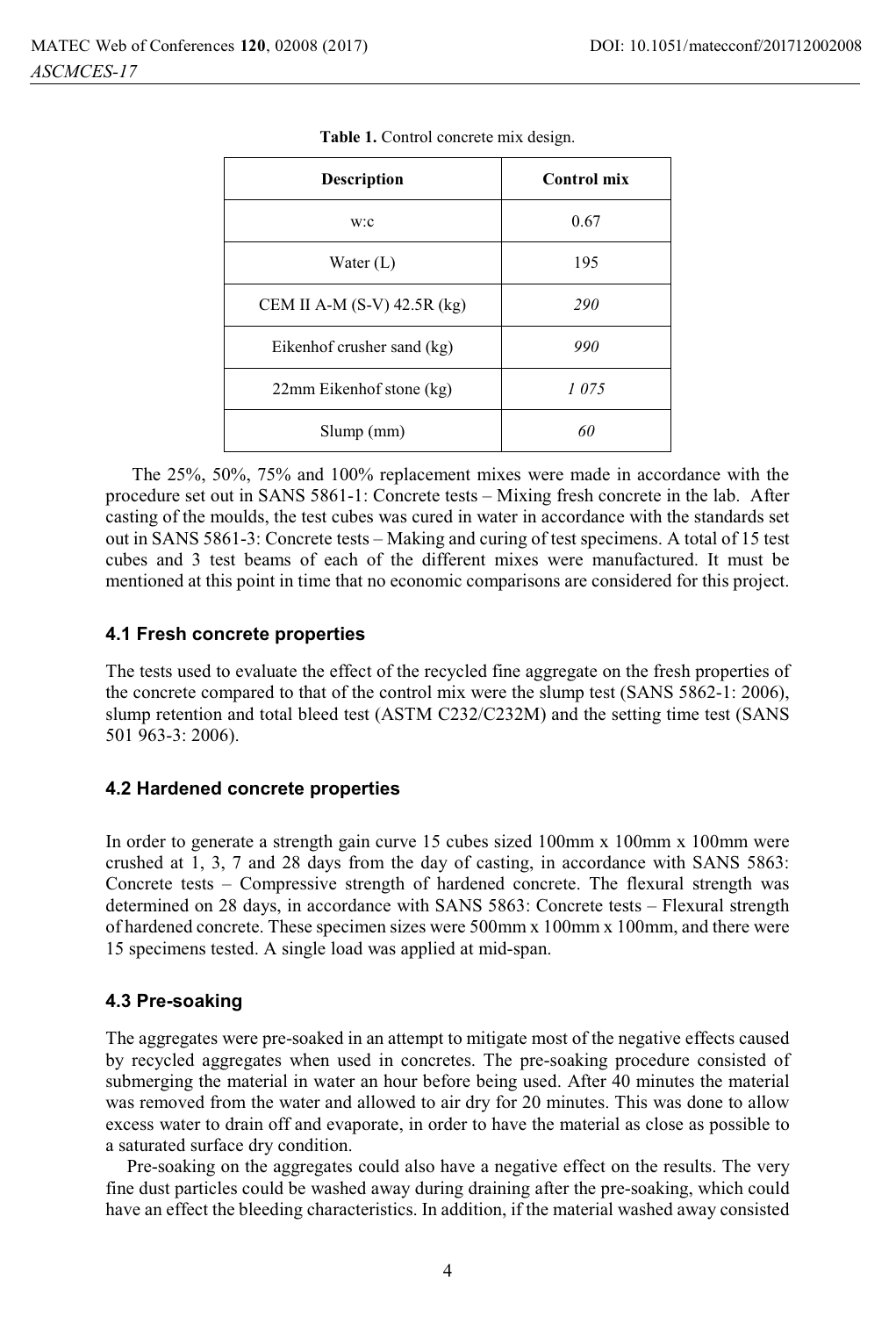| <b>Description</b>              | Control mix |
|---------------------------------|-------------|
| w:c                             | 0.67        |
| Water $(L)$                     | 195         |
| CEM II A-M $(S-V)$ 42.5R $(kg)$ | 290         |
| Eikenhof crusher sand (kg)      | 990         |
| 22mm Eikenhof stone (kg)        | 1075        |
| $Slump$ (mm)                    | 60          |

**Table 1.** Control concrete mix design.

The 25%, 50%, 75% and 100% replacement mixes were made in accordance with the procedure set out in SANS 5861-1: Concrete tests – Mixing fresh concrete in the lab. After casting of the moulds, the test cubes was cured in water in accordance with the standards set out in SANS 5861-3: Concrete tests – Making and curing of test specimens. A total of 15 test cubes and 3 test beams of each of the different mixes were manufactured. It must be mentioned at this point in time that no economic comparisons are considered for this project.

#### **4.1 Fresh concrete properties**

The tests used to evaluate the effect of the recycled fine aggregate on the fresh properties of the concrete compared to that of the control mix were the slump test (SANS 5862-1: 2006), slump retention and total bleed test (ASTM C232/C232M) and the setting time test (SANS 501 963-3: 2006).

#### **4.2 Hardened concrete properties**

In order to generate a strength gain curve 15 cubes sized 100mm x 100mm x 100mm were crushed at 1, 3, 7 and 28 days from the day of casting, in accordance with SANS 5863: Concrete tests – Compressive strength of hardened concrete. The flexural strength was determined on 28 days, in accordance with SANS 5863: Concrete tests – Flexural strength of hardened concrete. These specimen sizes were 500mm x 100mm x 100mm, and there were 15 specimens tested. A single load was applied at mid-span.

#### **4.3 Pre-soaking**

The aggregates were pre-soaked in an attempt to mitigate most of the negative effects caused by recycled aggregates when used in concretes. The pre-soaking procedure consisted of submerging the material in water an hour before being used. After 40 minutes the material was removed from the water and allowed to air dry for 20 minutes. This was done to allow excess water to drain off and evaporate, in order to have the material as close as possible to a saturated surface dry condition.

Pre-soaking on the aggregates could also have a negative effect on the results. The very fine dust particles could be washed away during draining after the pre-soaking, which could have an effect the bleeding characteristics. In addition, if the material washed away consisted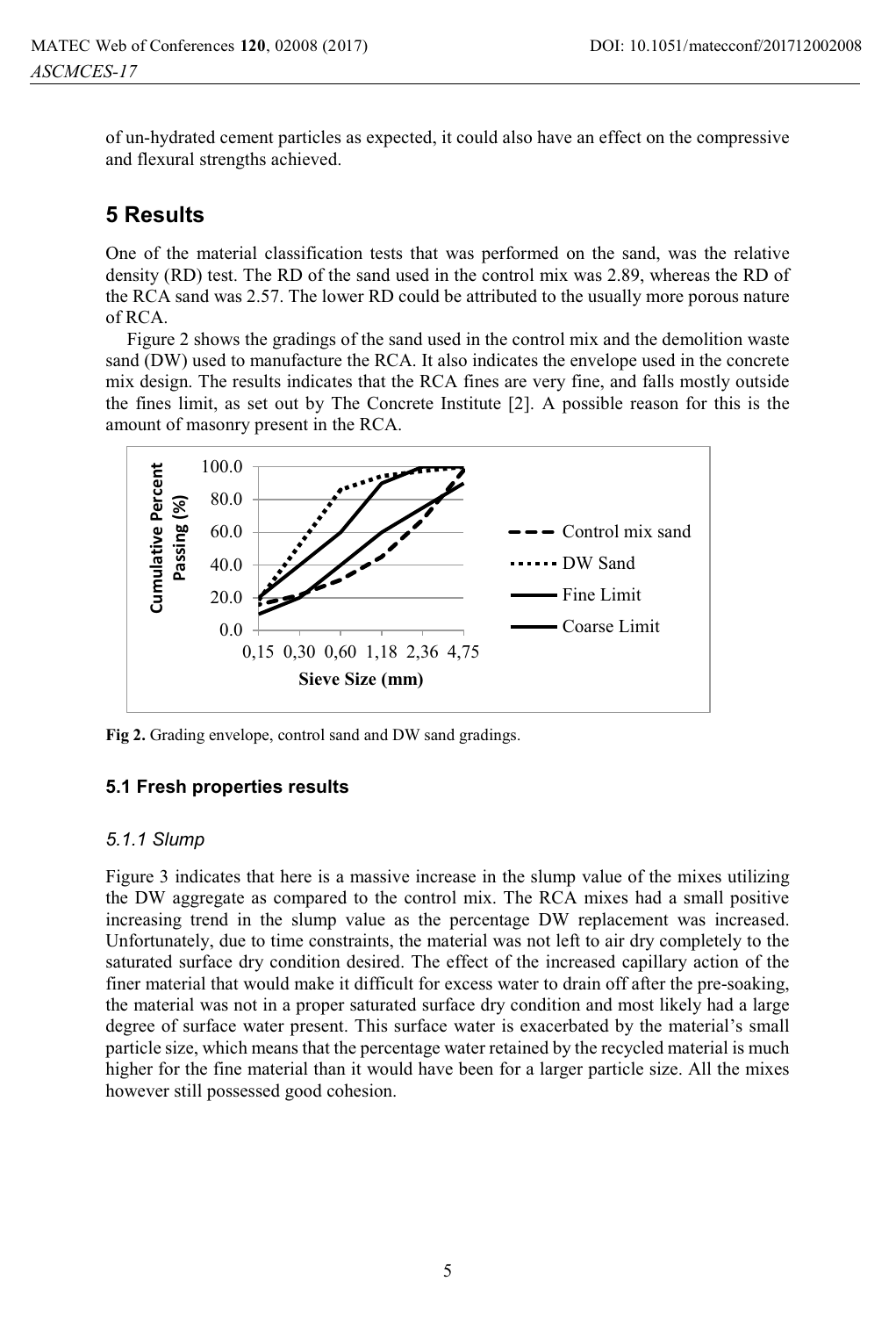of un-hydrated cement particles as expected, it could also have an effect on the compressive and flexural strengths achieved.

# **5 Results**

One of the material classification tests that was performed on the sand, was the relative density (RD) test. The RD of the sand used in the control mix was 2.89, whereas the RD of the RCA sand was 2.57. The lower RD could be attributed to the usually more porous nature of RCA.

Figure 2 shows the gradings of the sand used in the control mix and the demolition waste sand (DW) used to manufacture the RCA. It also indicates the envelope used in the concrete mix design. The results indicates that the RCA fines are very fine, and falls mostly outside the fines limit, as set out by The Concrete Institute [2]. A possible reason for this is the amount of masonry present in the RCA.



**Fig 2.** Grading envelope, control sand and DW sand gradings.

### **5.1 Fresh properties results**

### *5.1.1 Slump*

Figure 3 indicates that here is a massive increase in the slump value of the mixes utilizing the DW aggregate as compared to the control mix. The RCA mixes had a small positive increasing trend in the slump value as the percentage DW replacement was increased. Unfortunately, due to time constraints, the material was not left to air dry completely to the saturated surface dry condition desired. The effect of the increased capillary action of the finer material that would make it difficult for excess water to drain off after the pre-soaking, the material was not in a proper saturated surface dry condition and most likely had a large degree of surface water present. This surface water is exacerbated by the material's small particle size, which means that the percentage water retained by the recycled material is much higher for the fine material than it would have been for a larger particle size. All the mixes however still possessed good cohesion.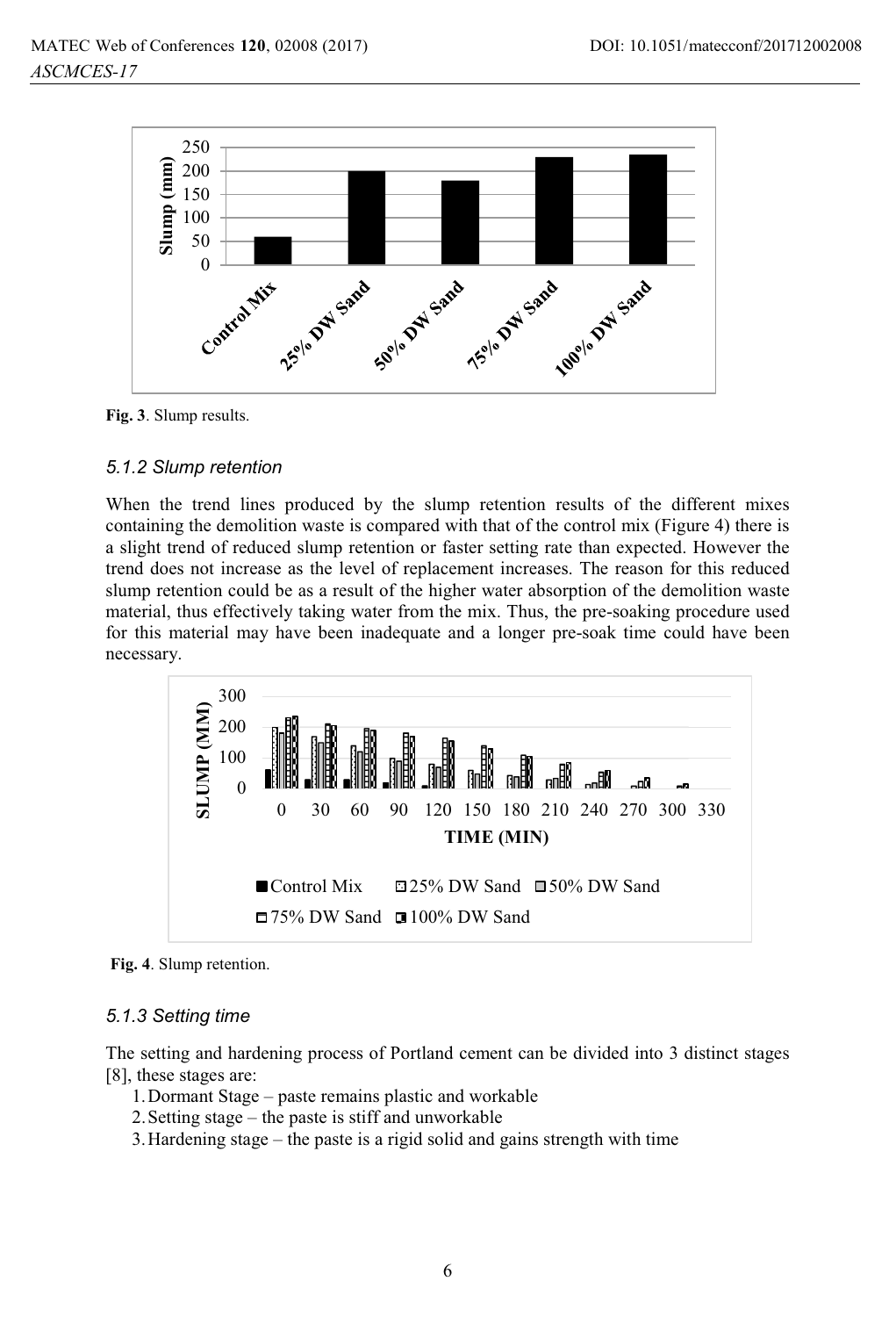

**Fig. 3**. Slump results.

#### *5.1.2 Slump retention*

When the trend lines produced by the slump retention results of the different mixes containing the demolition waste is compared with that of the control mix (Figure 4) there is a slight trend of reduced slump retention or faster setting rate than expected. However the trend does not increase as the level of replacement increases. The reason for this reduced slump retention could be as a result of the higher water absorption of the demolition waste material, thus effectively taking water from the mix. Thus, the pre-soaking procedure used for this material may have been inadequate and a longer pre-soak time could have been necessary.



**Fig. 4**. Slump retention.

#### *5.1.3 Setting time*

The setting and hardening process of Portland cement can be divided into 3 distinct stages [8], these stages are:

- 1. Dormant Stage paste remains plastic and workable
- 2. Setting stage the paste is stiff and unworkable
- 3. Hardening stage the paste is a rigid solid and gains strength with time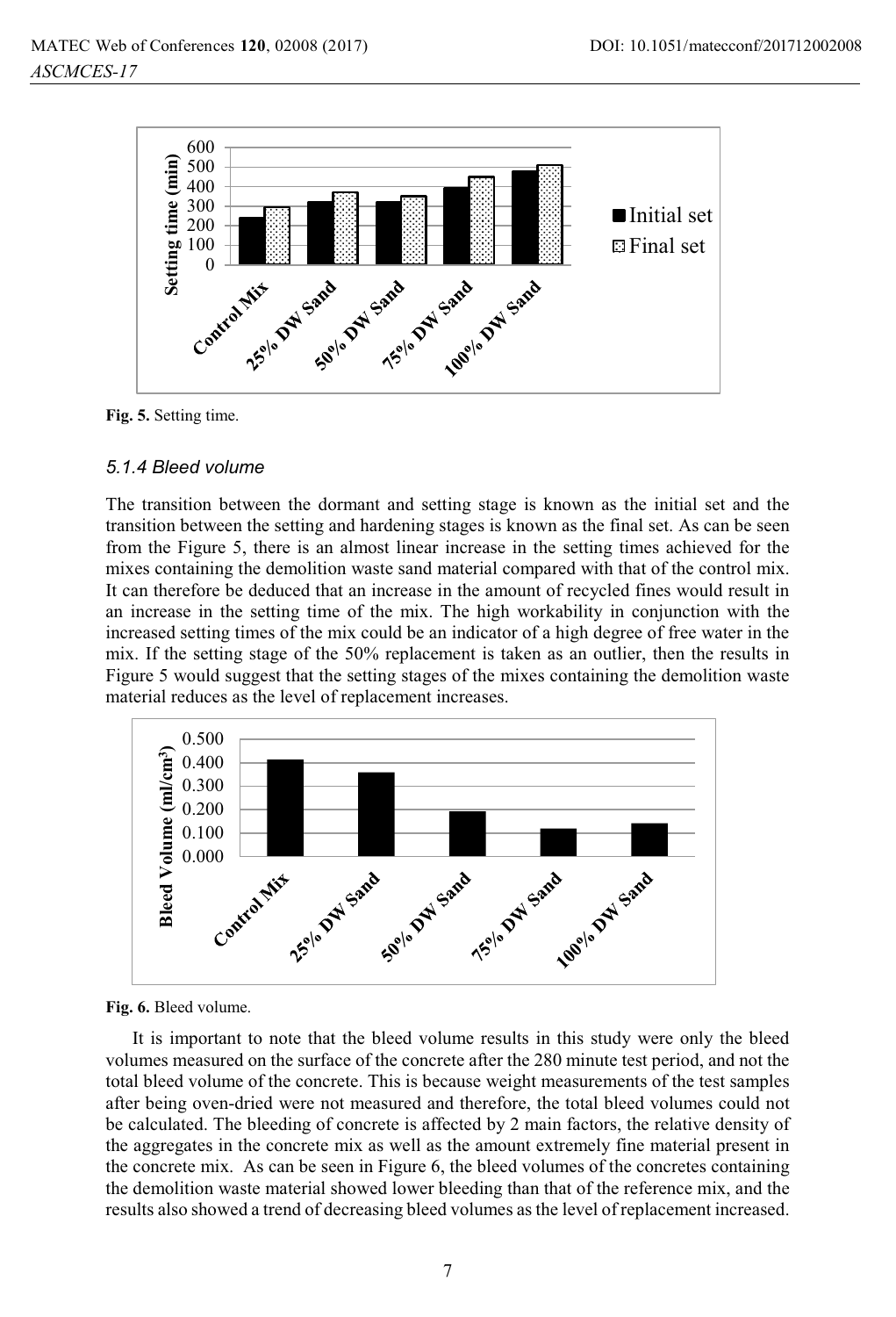

**Fig. 5.** Setting time.

#### *5.1.4 Bleed volume*

The transition between the dormant and setting stage is known as the initial set and the transition between the setting and hardening stages is known as the final set. As can be seen from the Figure 5, there is an almost linear increase in the setting times achieved for the mixes containing the demolition waste sand material compared with that of the control mix. It can therefore be deduced that an increase in the amount of recycled fines would result in an increase in the setting time of the mix. The high workability in conjunction with the increased setting times of the mix could be an indicator of a high degree of free water in the mix. If the setting stage of the 50% replacement is taken as an outlier, then the results in Figure 5 would suggest that the setting stages of the mixes containing the demolition waste material reduces as the level of replacement increases.



**Fig. 6.** Bleed volume.

It is important to note that the bleed volume results in this study were only the bleed volumes measured on the surface of the concrete after the 280 minute test period, and not the total bleed volume of the concrete. This is because weight measurements of the test samples after being oven-dried were not measured and therefore, the total bleed volumes could not be calculated. The bleeding of concrete is affected by 2 main factors, the relative density of the aggregates in the concrete mix as well as the amount extremely fine material present in the concrete mix. As can be seen in Figure 6, the bleed volumes of the concretes containing the demolition waste material showed lower bleeding than that of the reference mix, and the results also showed a trend of decreasing bleed volumes as the level of replacement increased.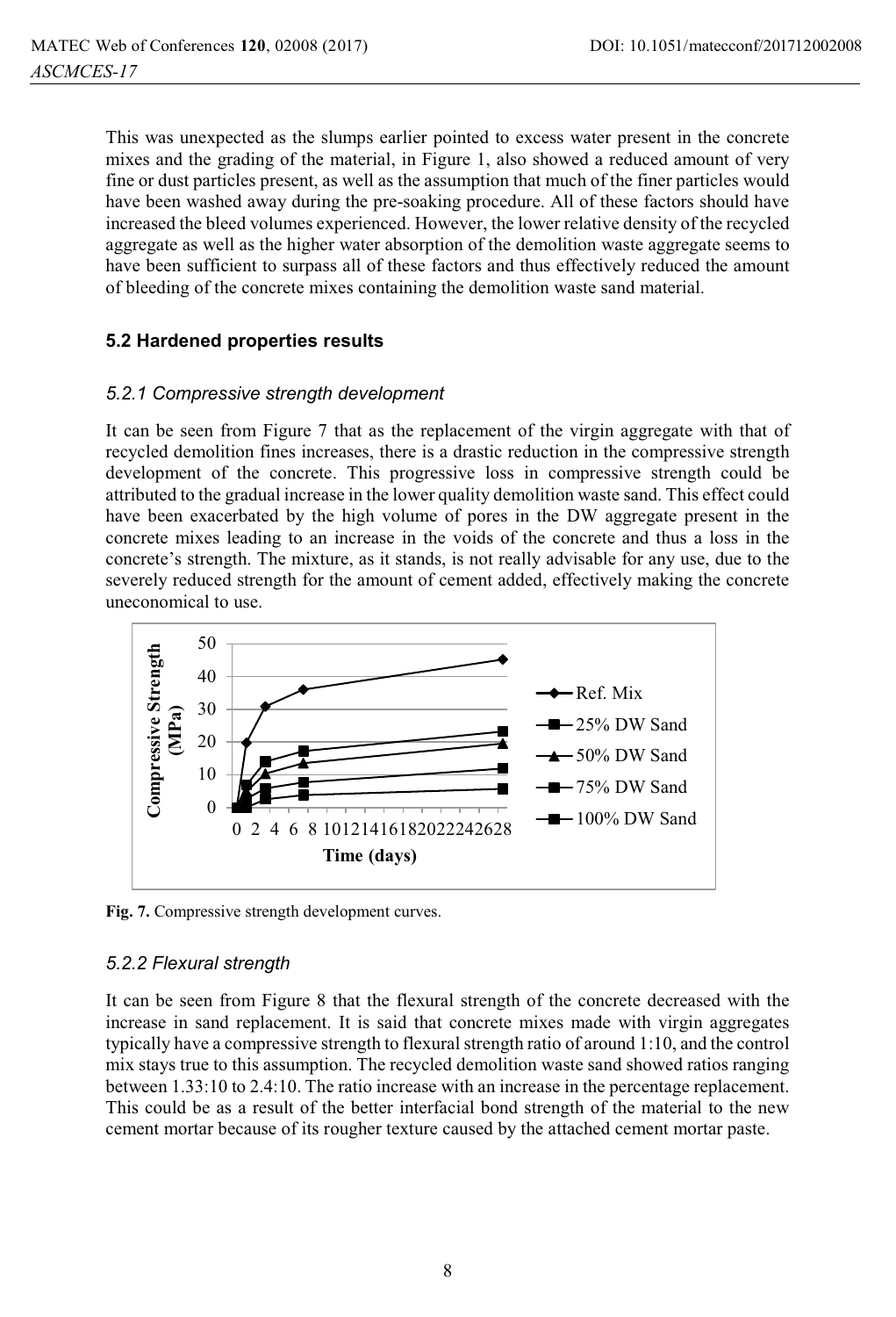This was unexpected as the slumps earlier pointed to excess water present in the concrete mixes and the grading of the material, in Figure 1, also showed a reduced amount of very fine or dust particles present, as well as the assumption that much of the finer particles would have been washed away during the pre-soaking procedure. All of these factors should have increased the bleed volumes experienced. However, the lower relative density of the recycled aggregate as well as the higher water absorption of the demolition waste aggregate seems to have been sufficient to surpass all of these factors and thus effectively reduced the amount of bleeding of the concrete mixes containing the demolition waste sand material.

### **5.2 Hardened properties results**

### *5.2.1 Compressive strength development*

It can be seen from Figure 7 that as the replacement of the virgin aggregate with that of recycled demolition fines increases, there is a drastic reduction in the compressive strength development of the concrete. This progressive loss in compressive strength could be attributed to the gradual increase in the lower quality demolition waste sand. This effect could have been exacerbated by the high volume of pores in the DW aggregate present in the concrete mixes leading to an increase in the voids of the concrete and thus a loss in the concrete's strength. The mixture, as it stands, is not really advisable for any use, due to the severely reduced strength for the amount of cement added, effectively making the concrete uneconomical to use.



**Fig. 7.** Compressive strength development curves.

### *5.2.2 Flexural strength*

It can be seen from Figure 8 that the flexural strength of the concrete decreased with the increase in sand replacement. It is said that concrete mixes made with virgin aggregates typically have a compressive strength to flexural strength ratio of around 1:10, and the control mix stays true to this assumption. The recycled demolition waste sand showed ratios ranging between 1.33:10 to 2.4:10. The ratio increase with an increase in the percentage replacement. This could be as a result of the better interfacial bond strength of the material to the new cement mortar because of its rougher texture caused by the attached cement mortar paste.